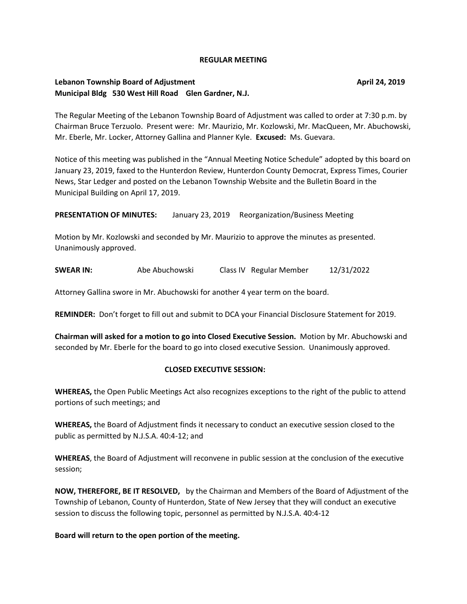#### **REGULAR MEETING**

# **Lebanon Township Board of Adjustment April 24, 2019 April 24, 2019 Municipal Bldg 530 West Hill Road Glen Gardner, N.J.**

The Regular Meeting of the Lebanon Township Board of Adjustment was called to order at 7:30 p.m. by Chairman Bruce Terzuolo. Present were: Mr. Maurizio, Mr. Kozlowski, Mr. MacQueen, Mr. Abuchowski, Mr. Eberle, Mr. Locker, Attorney Gallina and Planner Kyle. **Excused:** Ms. Guevara.

Notice of this meeting was published in the "Annual Meeting Notice Schedule" adopted by this board on January 23, 2019, faxed to the Hunterdon Review, Hunterdon County Democrat, Express Times, Courier News, Star Ledger and posted on the Lebanon Township Website and the Bulletin Board in the Municipal Building on April 17, 2019.

**PRESENTATION OF MINUTES:** January 23, 2019 Reorganization/Business Meeting

Motion by Mr. Kozlowski and seconded by Mr. Maurizio to approve the minutes as presented. Unanimously approved.

**SWEAR IN:** Abe Abuchowski Class IV Regular Member 12/31/2022

Attorney Gallina swore in Mr. Abuchowski for another 4 year term on the board.

**REMINDER:** Don't forget to fill out and submit to DCA your Financial Disclosure Statement for 2019.

**Chairman will asked for a motion to go into Closed Executive Session.** Motion by Mr. Abuchowski and seconded by Mr. Eberle for the board to go into closed executive Session. Unanimously approved.

#### **CLOSED EXECUTIVE SESSION:**

**WHEREAS,** the Open Public Meetings Act also recognizes exceptions to the right of the public to attend portions of such meetings; and

**WHEREAS,** the Board of Adjustment finds it necessary to conduct an executive session closed to the public as permitted by N.J.S.A. 40:4-12; and

**WHEREAS**, the Board of Adjustment will reconvene in public session at the conclusion of the executive session;

**NOW, THEREFORE, BE IT RESOLVED,** by the Chairman and Members of the Board of Adjustment of the Township of Lebanon, County of Hunterdon, State of New Jersey that they will conduct an executive session to discuss the following topic, personnel as permitted by N.J.S.A. 40:4-12

**Board will return to the open portion of the meeting.**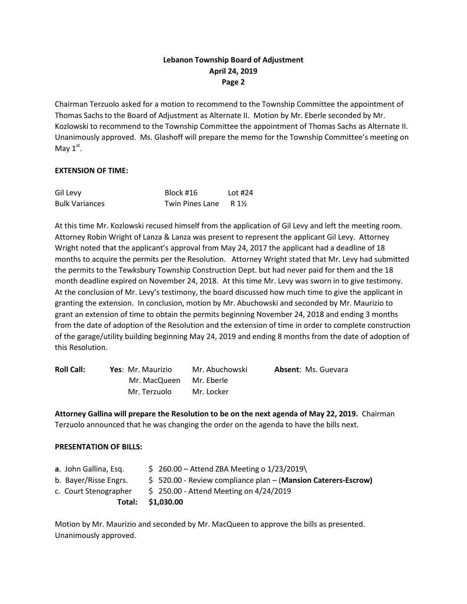# **Lebanon Township Board of Adjustment April 24, 2019 Page 2**

Chairman Terzuolo asked for a motion to recommend to the Township Committee the appointment of Thomas Sachs to the Board of Adjustment as Alternate II. Motion by Mr. Eberle seconded by Mr. Kozlowski to recommend to the Township Committee the appointment of Thomas Sachs as Alternate II. Unanimously approved. Ms. Glashoff will prepare the memo for the Township Committee's meeting on May  $1^{\text{st}}$ .

### **EXTENSION OF TIME:**

| Gil Levy              | Block #16              | Lot $#24$ |
|-----------------------|------------------------|-----------|
| <b>Bulk Variances</b> | <b>Twin Pines Lane</b> | R 1½      |

At this time Mr. Kozlowski recused himself from the application of Gil Levy and left the meeting room. Attorney Robin Wright of Lanza & Lanza was present to represent the applicant Gil Levy. Attorney Wright noted that the applicant's approval from May 24, 2017 the applicant had a deadline of 18 months to acquire the permits per the Resolution. Attorney Wright stated that Mr. Levy had submitted the permits to the Tewksbury Township Construction Dept. but had never paid for them and the 18 month deadline expired on November 24, 2018. At this time Mr. Levy was sworn in to give testimony. At the conclusion of Mr. Levy's testimony, the board discussed how much time to give the applicant in granting the extension. In conclusion, motion by Mr. Abuchowski and seconded by Mr. Maurizio to grant an extension of time to obtain the permits beginning November 24, 2018 and ending 3 months from the date of adoption of the Resolution and the extension of time in order to complete construction of the garage/utility building beginning May 24, 2019 and ending 8 months from the date of adoption of this Resolution.

| <b>Roll Call:</b> | Yes: Mr. Maurizio | Mr. Abuchowski | <b>Absent: Ms. Guevara</b> |
|-------------------|-------------------|----------------|----------------------------|
|                   | Mr. MacQueen      | Mr. Eberle     |                            |
|                   | Mr. Terzuolo      | Mr. Locker     |                            |

**Attorney Gallina will prepare the Resolution to be on the next agenda of May 22, 2019.** Chairman Terzuolo announced that he was changing the order on the agenda to have the bills next.

### **PRESENTATION OF BILLS:**

| <b>a</b> . John Gallina, Esg.<br>b. Bayer/Risse Engrs. | $$260.00 -$ Attend ZBA Meeting o 1/23/2019\<br>\$520.00 - Review compliance plan - (Mansion Caterers-Escrow) |
|--------------------------------------------------------|--------------------------------------------------------------------------------------------------------------|
| c. Court Stenographer                                  | $$250.00$ - Attend Meeting on 4/24/2019                                                                      |
|                                                        | Total: \$1,030.00                                                                                            |
|                                                        |                                                                                                              |

Motion by Mr. Maurizio and seconded by Mr. MacQueen to approve the bills as presented. Unanimously approved.